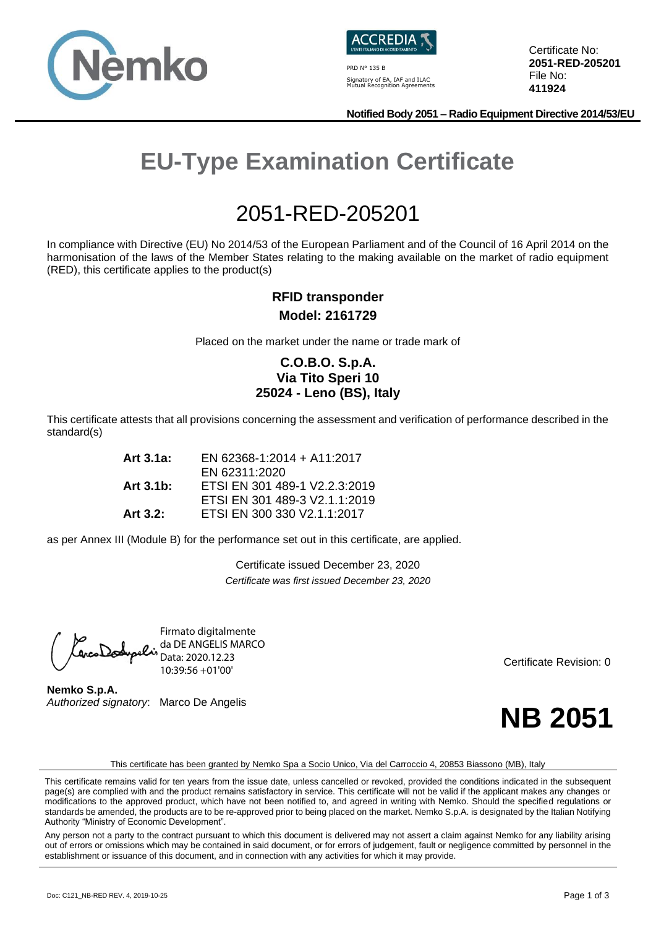



PRD N° 135 B Signatory of EA, IAF and ILAC Mutual Recognition Agreements Certificate No: **2051-RED-205201** File No: **411924**

**Notified Body 2051 – Radio Equipment Directive 2014/53/EU**

# **EU-Type Examination Certificate**

## 2051-RED-205201

In compliance with Directive (EU) No 2014/53 of the European Parliament and of the Council of 16 April 2014 on the harmonisation of the laws of the Member States relating to the making available on the market of radio equipment (RED), this certificate applies to the product(s)

#### **RFID transponder Model: 2161729**

Placed on the market under the name or trade mark of

#### **C.O.B.O. S.p.A. Via Tito Speri 10 25024 - Leno (BS), Italy**

This certificate attests that all provisions concerning the assessment and verification of performance described in the standard(s)

| Art 3.1a:    | EN 62368-1:2014 + A11:2017    |
|--------------|-------------------------------|
|              | EN 62311:2020                 |
| Art $3.1b$ : | ETSI EN 301 489-1 V2.2.3:2019 |
|              | ETSI EN 301 489-3 V2.1.1:2019 |
| Art $3.2$ :  | ETSI EN 300 330 V2.1.1:2017   |

as per Annex III (Module B) for the performance set out in this certificate, are applied.

Certificate issued December 23, 2020 *Certificate was first issued December 23, 2020*

Firmato digitalmente da DE ANGELIS MARCO Data: 2020.12.23 10:39:56 +01'00'

**Nemko S.p.A.** *Authorized signatory*: Marco De Angelis

Certificate Revision: 0



This certificate has been granted by Nemko Spa a Socio Unico, Via del Carroccio 4, 20853 Biassono (MB), Italy

Any person not a party to the contract pursuant to which this document is delivered may not assert a claim against Nemko for any liability arising out of errors or omissions which may be contained in said document, or for errors of judgement, fault or negligence committed by personnel in the establishment or issuance of this document, and in connection with any activities for which it may provide.

This certificate remains valid for ten years from the issue date, unless cancelled or revoked, provided the conditions indicated in the subsequent page(s) are complied with and the product remains satisfactory in service. This certificate will not be valid if the applicant makes any changes or modifications to the approved product, which have not been notified to, and agreed in writing with Nemko. Should the specified regulations or standards be amended, the products are to be re-approved prior to being placed on the market. Nemko S.p.A. is designated by the Italian Notifying Authority "Ministry of Economic Development".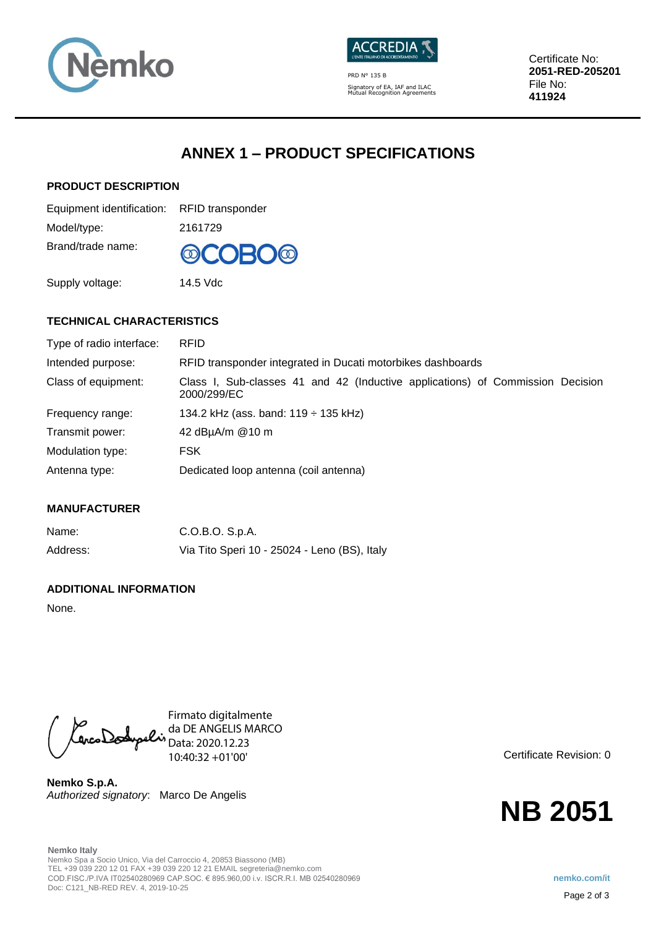



PRD N° 135 B Signatory of EA, IAF and ILAC Mutual Recognition Agreements Certificate No: **2051-RED-205201** File No: **411924**

## **ANNEX 1 – PRODUCT SPECIFICATIONS**

#### **PRODUCT DESCRIPTION**

| Equipment identification: RFID transponder |         |
|--------------------------------------------|---------|
| Model/type:                                | 2161729 |
| Brand/trade name:                          | @COBO@  |

Supply voltage: 14.5 Vdc

#### **TECHNICAL CHARACTERISTICS**

| Type of radio interface: | <b>RFID</b>                                                                                   |
|--------------------------|-----------------------------------------------------------------------------------------------|
| Intended purpose:        | RFID transponder integrated in Ducati motorbikes dashboards                                   |
| Class of equipment:      | Class I, Sub-classes 41 and 42 (Inductive applications) of Commission Decision<br>2000/299/EC |
| Frequency range:         | 134.2 kHz (ass. band: $119 \div 135$ kHz)                                                     |
| Transmit power:          | 42 dBµA/m @10 m                                                                               |
| Modulation type:         | FSK.                                                                                          |
| Antenna type:            | Dedicated loop antenna (coil antenna)                                                         |

#### **MANUFACTURER**

| Name:    | C.O.B.O. S.p.A.                              |
|----------|----------------------------------------------|
| Address: | Via Tito Speri 10 - 25024 - Leno (BS), Italy |

#### **ADDITIONAL INFORMATION**

None.

Firmato digitalmente CarcoDodypolis da DE ANGELIS MARCO Data: 2020.12.23 10:40:32 +01'00'

**Nemko S.p.A.** *Authorized signatory*: Marco De Angelis Certificate Revision: 0